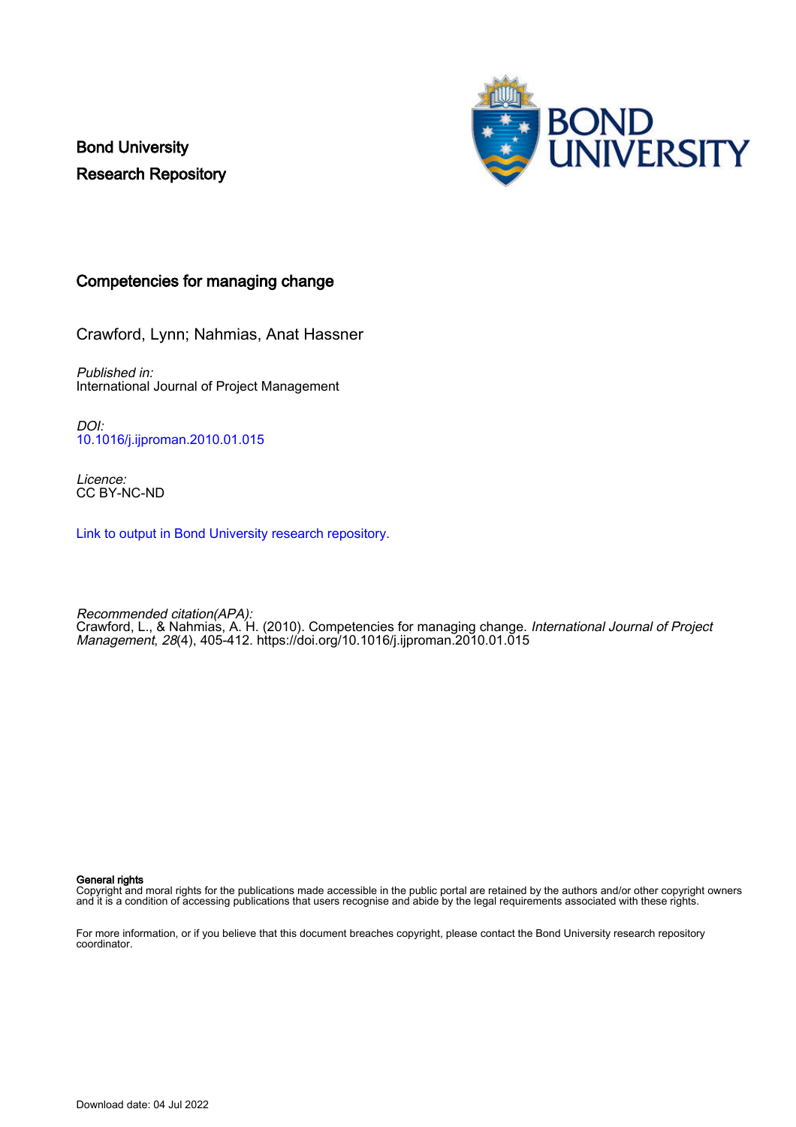Bond University Research Repository



### Competencies for managing change

Crawford, Lynn; Nahmias, Anat Hassner

Published in: International Journal of Project Management

DOI: [10.1016/j.ijproman.2010.01.015](https://doi.org/10.1016/j.ijproman.2010.01.015)

Licence: CC BY-NC-ND

[Link to output in Bond University research repository.](https://research.bond.edu.au/en/publications/98a5443b-7d96-4d58-adba-7787a08dbe70)

Recommended citation(APA): Crawford, L., & Nahmias, A. H. (2010). Competencies for managing change. *International Journal of Project* Management, 28(4), 405-412. <https://doi.org/10.1016/j.ijproman.2010.01.015>

#### General rights

Copyright and moral rights for the publications made accessible in the public portal are retained by the authors and/or other copyright owners and it is a condition of accessing publications that users recognise and abide by the legal requirements associated with these rights.

For more information, or if you believe that this document breaches copyright, please contact the Bond University research repository coordinator.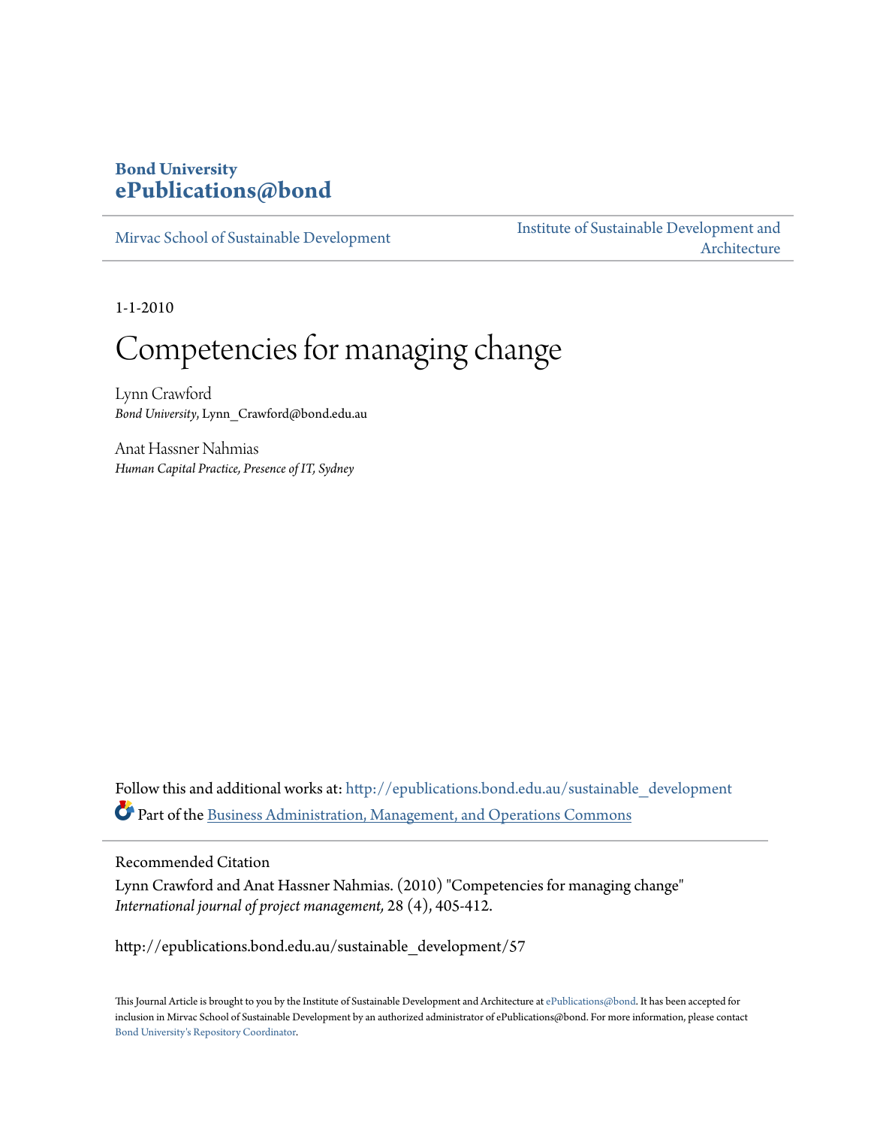# **Bond University [ePublications@bond](http://epublications.bond.edu.au?utm_source=epublications.bond.edu.au%2Fsustainable_development%2F57&utm_medium=PDF&utm_campaign=PDFCoverPages)**

[Mirvac School of Sustainable Development](http://epublications.bond.edu.au/sustainable_development?utm_source=epublications.bond.edu.au%2Fsustainable_development%2F57&utm_medium=PDF&utm_campaign=PDFCoverPages)

[Institute of Sustainable Development and](http://epublications.bond.edu.au/sustainabledev?utm_source=epublications.bond.edu.au%2Fsustainable_development%2F57&utm_medium=PDF&utm_campaign=PDFCoverPages) [Architecture](http://epublications.bond.edu.au/sustainabledev?utm_source=epublications.bond.edu.au%2Fsustainable_development%2F57&utm_medium=PDF&utm_campaign=PDFCoverPages)

1-1-2010

# Competencies for managing change

Lynn Crawford *Bond University*, Lynn\_Crawford@bond.edu.au

Anat Hassner Nahmias *Human Capital Practice, Presence of IT, Sydney*

Follow this and additional works at: [http://epublications.bond.edu.au/sustainable\\_development](http://epublications.bond.edu.au/sustainable_development?utm_source=epublications.bond.edu.au%2Fsustainable_development%2F57&utm_medium=PDF&utm_campaign=PDFCoverPages) Part of the [Business Administration, Management, and Operations Commons](http://network.bepress.com/hgg/discipline/623?utm_source=epublications.bond.edu.au%2Fsustainable_development%2F57&utm_medium=PDF&utm_campaign=PDFCoverPages)

Recommended Citation

Lynn Crawford and Anat Hassner Nahmias. (2010) "Competencies for managing change" *International journal of project management,* 28 (4), 405-412.

http://epublications.bond.edu.au/sustainable\_development/57

This Journal Article is brought to you by the Institute of Sustainable Development and Architecture at [ePublications@bond](http://epublications.bond.edu.au). It has been accepted for inclusion in Mirvac School of Sustainable Development by an authorized administrator of ePublications@bond. For more information, please contact [Bond University's Repository Coordinator](mailto:acass@bond.edu.au).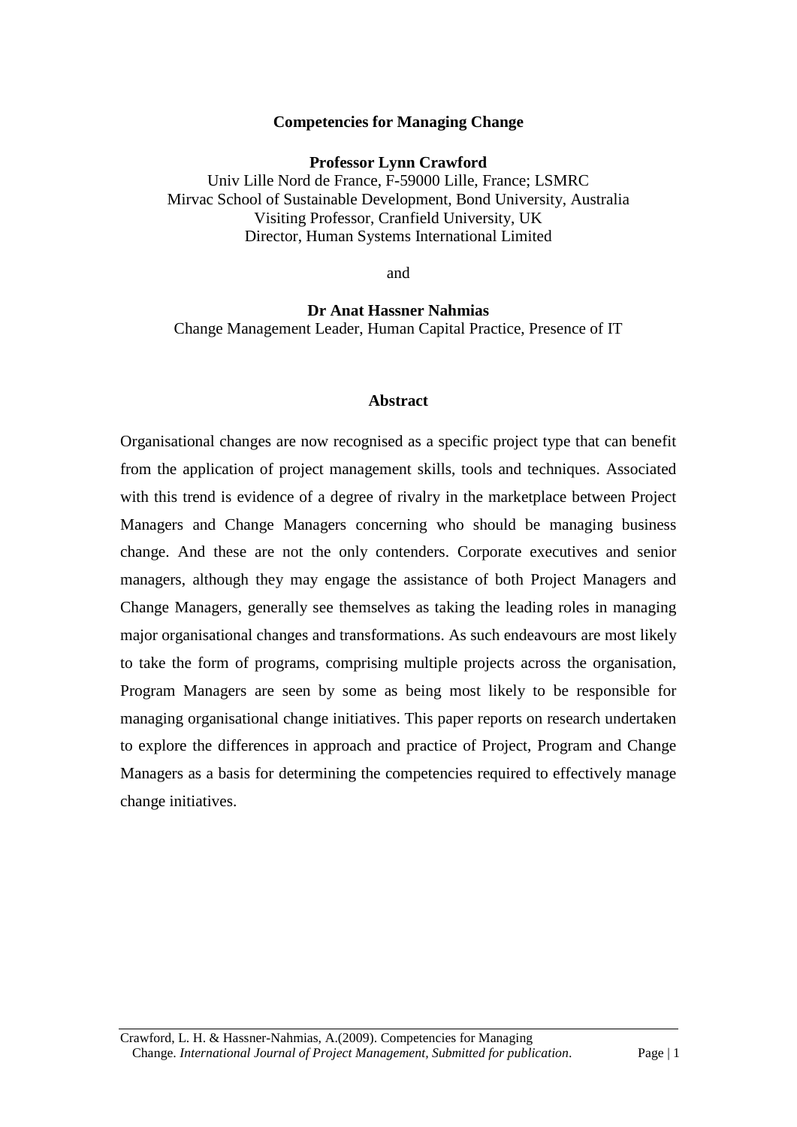#### **Competencies for Managing Change**

**Professor Lynn Crawford**

Univ Lille Nord de France, F-59000 Lille, France; LSMRC Mirvac School of Sustainable Development, Bond University, Australia Visiting Professor, Cranfield University, UK Director, Human Systems International Limited

and

**Dr Anat Hassner Nahmias**  Change Management Leader, Human Capital Practice, Presence of IT

#### **Abstract**

Organisational changes are now recognised as a specific project type that can benefit from the application of project management skills, tools and techniques. Associated with this trend is evidence of a degree of rivalry in the marketplace between Project Managers and Change Managers concerning who should be managing business change. And these are not the only contenders. Corporate executives and senior managers, although they may engage the assistance of both Project Managers and Change Managers, generally see themselves as taking the leading roles in managing major organisational changes and transformations. As such endeavours are most likely to take the form of programs, comprising multiple projects across the organisation, Program Managers are seen by some as being most likely to be responsible for managing organisational change initiatives. This paper reports on research undertaken to explore the differences in approach and practice of Project, Program and Change Managers as a basis for determining the competencies required to effectively manage change initiatives.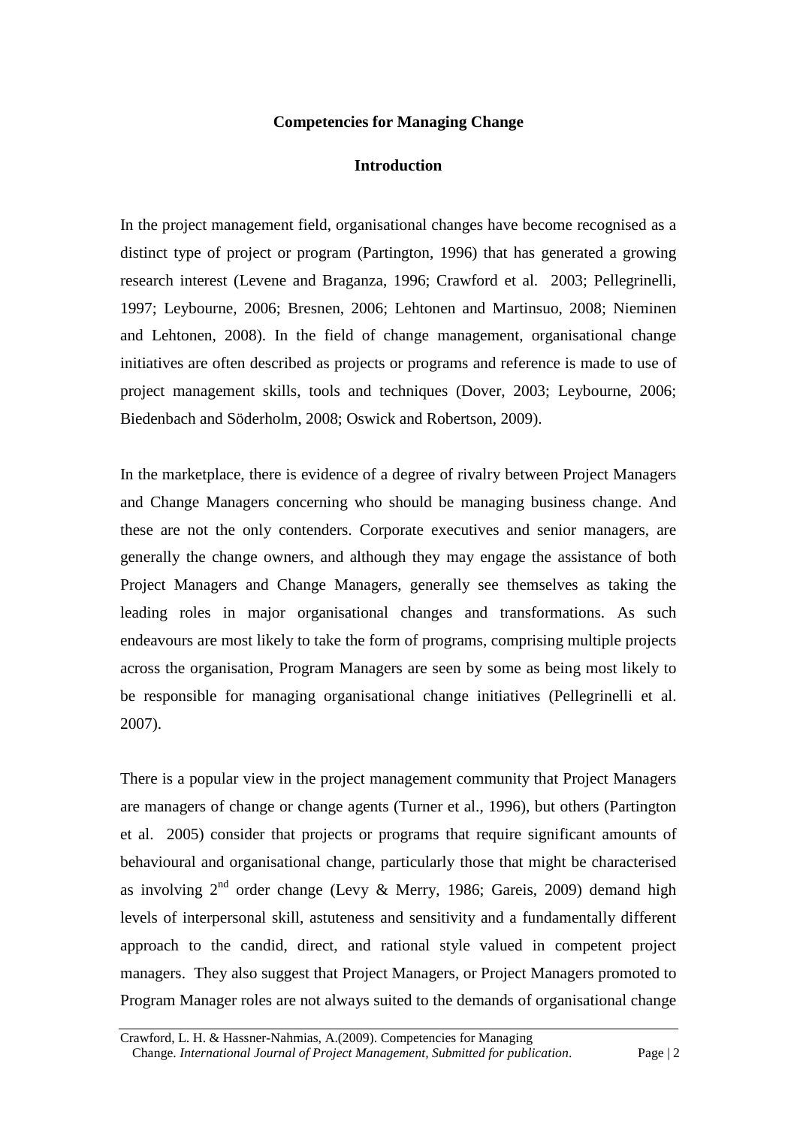#### **Competencies for Managing Change**

### **Introduction**

In the project management field, organisational changes have become recognised as a distinct type of project or program (Partington, 1996) that has generated a growing research interest (Levene and Braganza, 1996; Crawford et al. 2003; Pellegrinelli, 1997; Leybourne, 2006; Bresnen, 2006; Lehtonen and Martinsuo, 2008; Nieminen and Lehtonen, 2008). In the field of change management, organisational change initiatives are often described as projects or programs and reference is made to use of project management skills, tools and techniques (Dover, 2003; Leybourne, 2006; Biedenbach and Söderholm, 2008; Oswick and Robertson, 2009).

In the marketplace, there is evidence of a degree of rivalry between Project Managers and Change Managers concerning who should be managing business change. And these are not the only contenders. Corporate executives and senior managers, are generally the change owners, and although they may engage the assistance of both Project Managers and Change Managers, generally see themselves as taking the leading roles in major organisational changes and transformations. As such endeavours are most likely to take the form of programs, comprising multiple projects across the organisation, Program Managers are seen by some as being most likely to be responsible for managing organisational change initiatives (Pellegrinelli et al. 2007).

There is a popular view in the project management community that Project Managers are managers of change or change agents (Turner et al., 1996), but others (Partington et al. 2005) consider that projects or programs that require significant amounts of behavioural and organisational change, particularly those that might be characterised as involving  $2^{nd}$  order change (Levy & Merry, 1986; Gareis, 2009) demand high levels of interpersonal skill, astuteness and sensitivity and a fundamentally different approach to the candid, direct, and rational style valued in competent project managers. They also suggest that Project Managers, or Project Managers promoted to Program Manager roles are not always suited to the demands of organisational change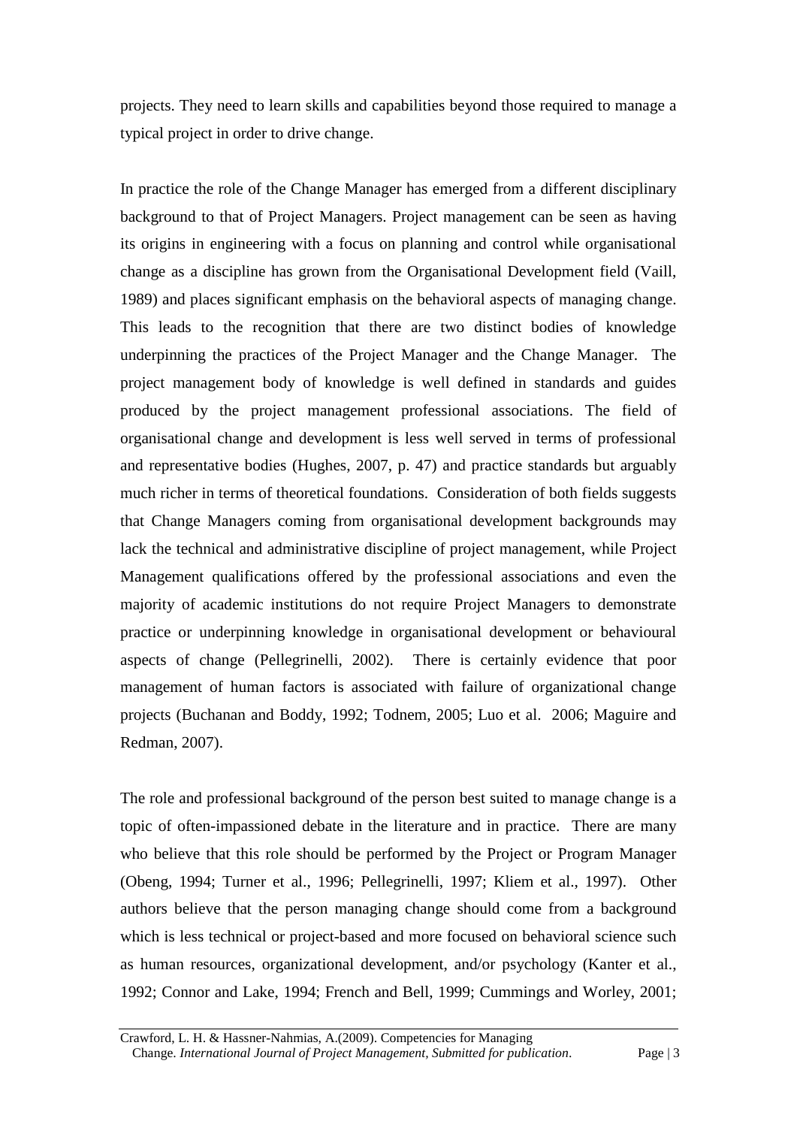projects. They need to learn skills and capabilities beyond those required to manage a typical project in order to drive change.

In practice the role of the Change Manager has emerged from a different disciplinary background to that of Project Managers. Project management can be seen as having its origins in engineering with a focus on planning and control while organisational change as a discipline has grown from the Organisational Development field (Vaill, 1989) and places significant emphasis on the behavioral aspects of managing change. This leads to the recognition that there are two distinct bodies of knowledge underpinning the practices of the Project Manager and the Change Manager. The project management body of knowledge is well defined in standards and guides produced by the project management professional associations. The field of organisational change and development is less well served in terms of professional and representative bodies (Hughes, 2007, p. 47) and practice standards but arguably much richer in terms of theoretical foundations. Consideration of both fields suggests that Change Managers coming from organisational development backgrounds may lack the technical and administrative discipline of project management, while Project Management qualifications offered by the professional associations and even the majority of academic institutions do not require Project Managers to demonstrate practice or underpinning knowledge in organisational development or behavioural aspects of change (Pellegrinelli, 2002). There is certainly evidence that poor management of human factors is associated with failure of organizational change projects (Buchanan and Boddy, 1992; Todnem, 2005; Luo et al. 2006; Maguire and Redman, 2007).

The role and professional background of the person best suited to manage change is a topic of often-impassioned debate in the literature and in practice. There are many who believe that this role should be performed by the Project or Program Manager (Obeng, 1994; Turner et al., 1996; Pellegrinelli, 1997; Kliem et al., 1997). Other authors believe that the person managing change should come from a background which is less technical or project-based and more focused on behavioral science such as human resources, organizational development, and/or psychology (Kanter et al., 1992; Connor and Lake, 1994; French and Bell, 1999; Cummings and Worley, 2001;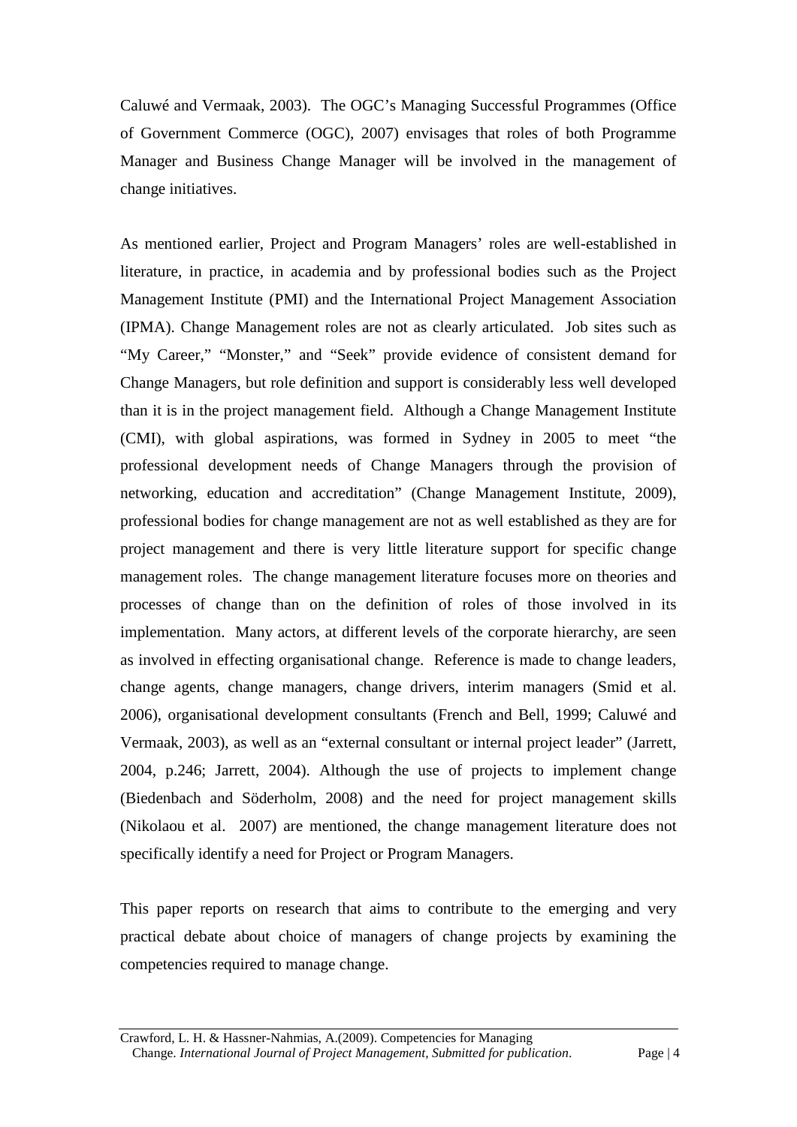Caluwé and Vermaak, 2003). The OGC's Managing Successful Programmes (Office of Government Commerce (OGC), 2007) envisages that roles of both Programme Manager and Business Change Manager will be involved in the management of change initiatives.

As mentioned earlier, Project and Program Managers' roles are well-established in literature, in practice, in academia and by professional bodies such as the Project Management Institute (PMI) and the International Project Management Association (IPMA). Change Management roles are not as clearly articulated. Job sites such as "My Career," "Monster," and "Seek" provide evidence of consistent demand for Change Managers, but role definition and support is considerably less well developed than it is in the project management field. Although a Change Management Institute (CMI), with global aspirations, was formed in Sydney in 2005 to meet "the professional development needs of Change Managers through the provision of networking, education and accreditation" (Change Management Institute, 2009), professional bodies for change management are not as well established as they are for project management and there is very little literature support for specific change management roles. The change management literature focuses more on theories and processes of change than on the definition of roles of those involved in its implementation. Many actors, at different levels of the corporate hierarchy, are seen as involved in effecting organisational change. Reference is made to change leaders, change agents, change managers, change drivers, interim managers (Smid et al. 2006), organisational development consultants (French and Bell, 1999; Caluwé and Vermaak, 2003), as well as an "external consultant or internal project leader" (Jarrett, 2004, p.246; Jarrett, 2004). Although the use of projects to implement change (Biedenbach and Söderholm, 2008) and the need for project management skills (Nikolaou et al. 2007) are mentioned, the change management literature does not specifically identify a need for Project or Program Managers.

This paper reports on research that aims to contribute to the emerging and very practical debate about choice of managers of change projects by examining the competencies required to manage change.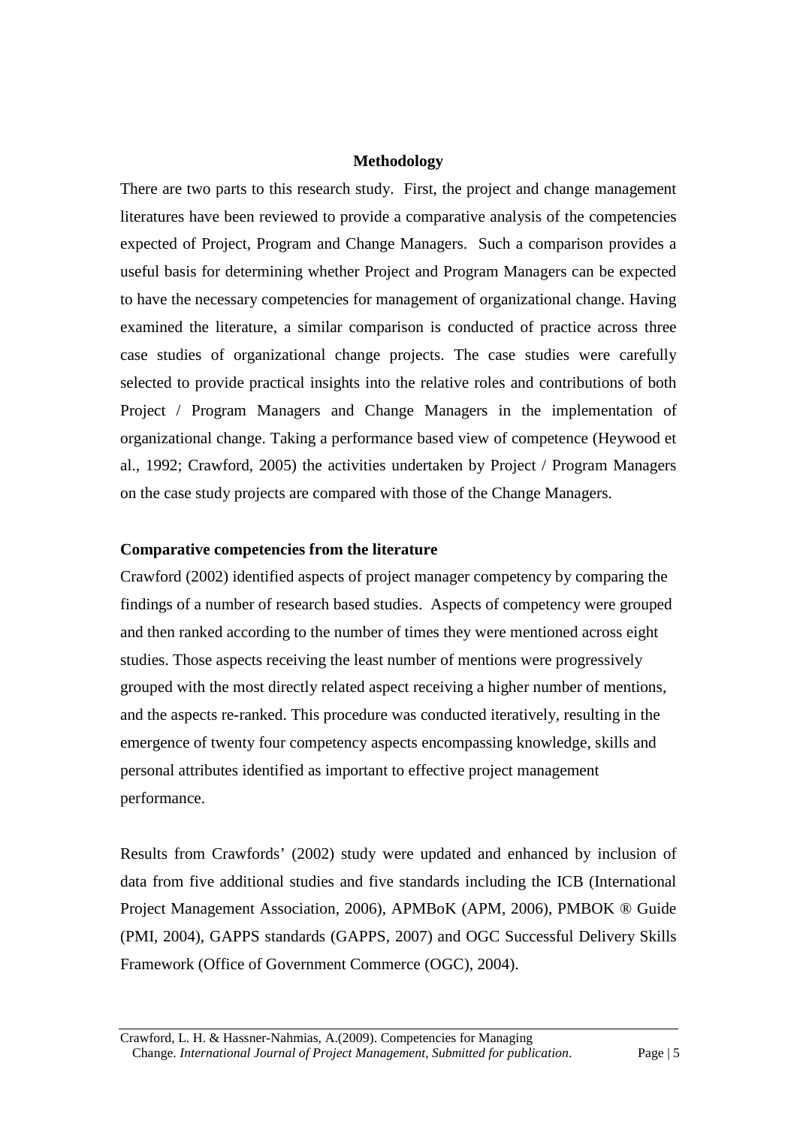#### **Methodology**

There are two parts to this research study. First, the project and change management literatures have been reviewed to provide a comparative analysis of the competencies expected of Project, Program and Change Managers. Such a comparison provides a useful basis for determining whether Project and Program Managers can be expected to have the necessary competencies for management of organizational change. Having examined the literature, a similar comparison is conducted of practice across three case studies of organizational change projects. The case studies were carefully selected to provide practical insights into the relative roles and contributions of both Project / Program Managers and Change Managers in the implementation of organizational change. Taking a performance based view of competence (Heywood et al., 1992; Crawford, 2005) the activities undertaken by Project / Program Managers on the case study projects are compared with those of the Change Managers.

#### **Comparative competencies from the literature**

Crawford (2002) identified aspects of project manager competency by comparing the findings of a number of research based studies. Aspects of competency were grouped and then ranked according to the number of times they were mentioned across eight studies. Those aspects receiving the least number of mentions were progressively grouped with the most directly related aspect receiving a higher number of mentions, and the aspects re-ranked. This procedure was conducted iteratively, resulting in the emergence of twenty four competency aspects encompassing knowledge, skills and personal attributes identified as important to effective project management performance.

Results from Crawfords' (2002) study were updated and enhanced by inclusion of data from five additional studies and five standards including the ICB (International Project Management Association, 2006), APMBoK (APM, 2006), PMBOK ® Guide (PMI, 2004), GAPPS standards (GAPPS, 2007) and OGC Successful Delivery Skills Framework (Office of Government Commerce (OGC), 2004).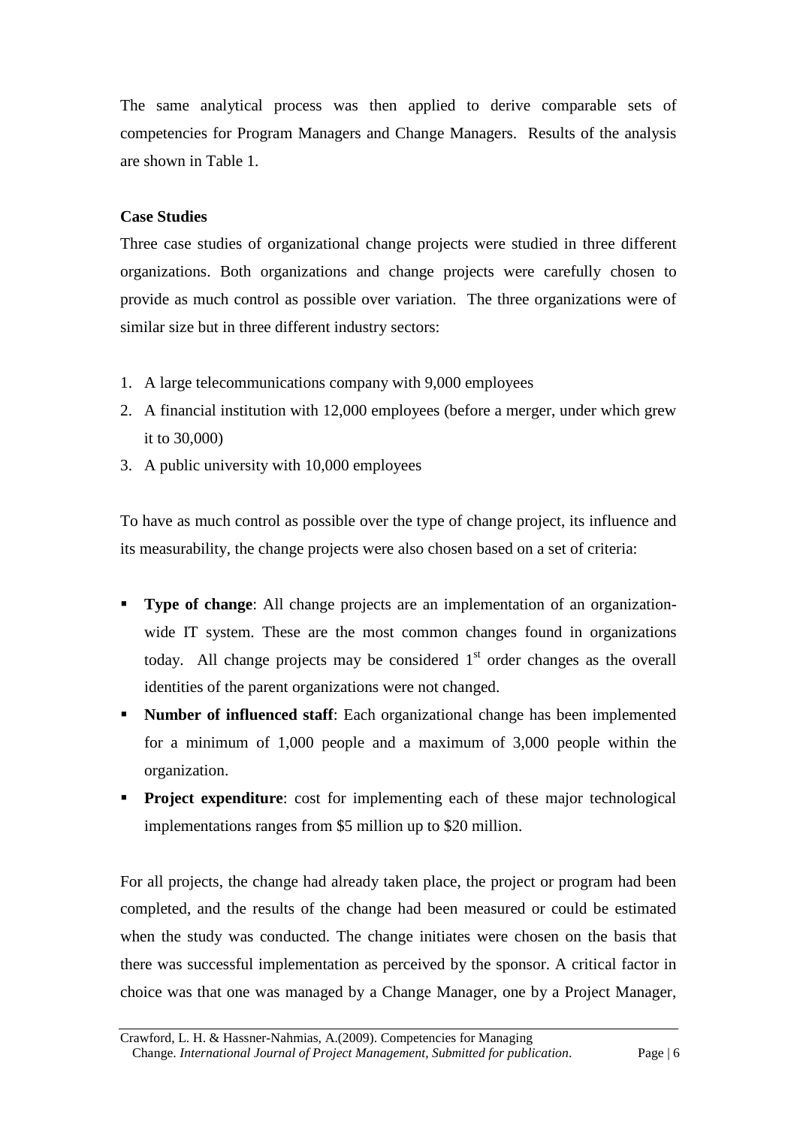The same analytical process was then applied to derive comparable sets of competencies for Program Managers and Change Managers. Results of the analysis are shown in Table 1.

### **Case Studies**

Three case studies of organizational change projects were studied in three different organizations. Both organizations and change projects were carefully chosen to provide as much control as possible over variation. The three organizations were of similar size but in three different industry sectors:

- 1. A large telecommunications company with 9,000 employees
- 2. A financial institution with 12,000 employees (before a merger, under which grew it to 30,000)
- 3. A public university with 10,000 employees

To have as much control as possible over the type of change project, its influence and its measurability, the change projects were also chosen based on a set of criteria:

- **Type of change**: All change projects are an implementation of an organizationwide IT system. These are the most common changes found in organizations today. All change projects may be considered  $1<sup>st</sup>$  order changes as the overall identities of the parent organizations were not changed.
- **Number of influenced staff**: Each organizational change has been implemented for a minimum of 1,000 people and a maximum of 3,000 people within the organization.
- **Project expenditure:** cost for implementing each of these major technological implementations ranges from \$5 million up to \$20 million.

For all projects, the change had already taken place, the project or program had been completed, and the results of the change had been measured or could be estimated when the study was conducted. The change initiates were chosen on the basis that there was successful implementation as perceived by the sponsor. A critical factor in choice was that one was managed by a Change Manager, one by a Project Manager,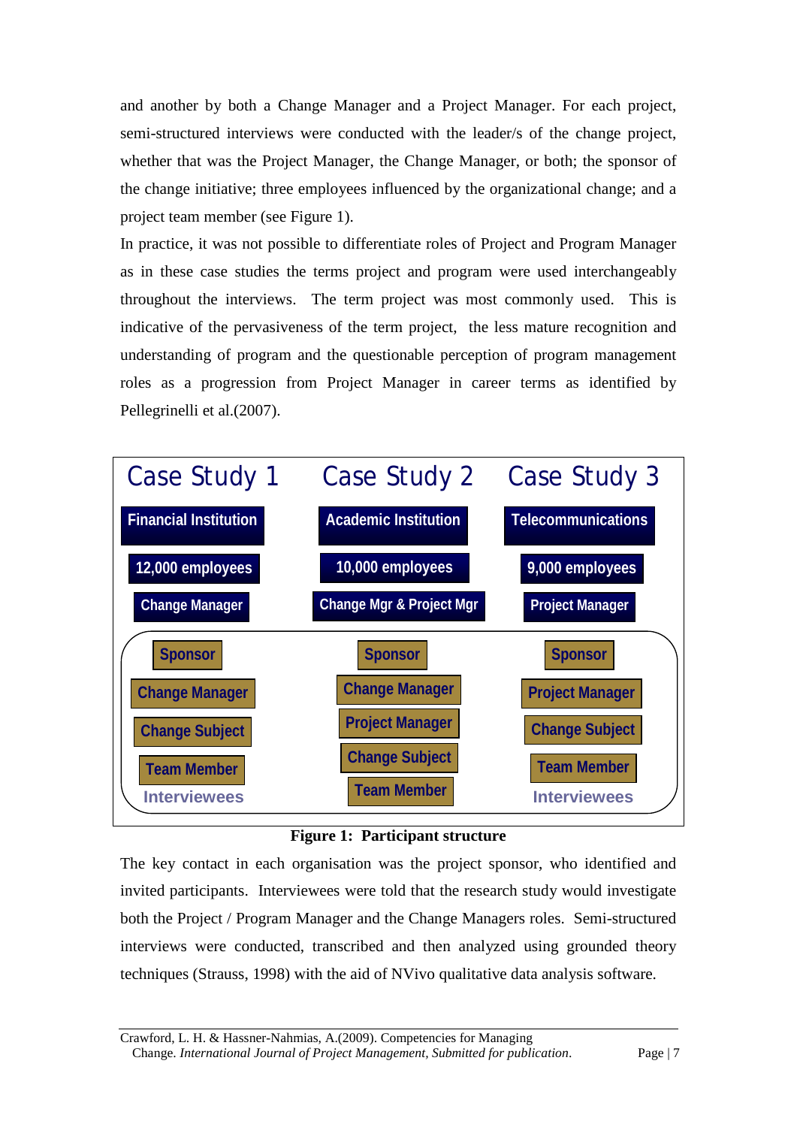and another by both a Change Manager and a Project Manager. For each project, semi-structured interviews were conducted with the leader/s of the change project, whether that was the Project Manager, the Change Manager, or both; the sponsor of the change initiative; three employees influenced by the organizational change; and a project team member (see Figure 1).

In practice, it was not possible to differentiate roles of Project and Program Manager as in these case studies the terms project and program were used interchangeably throughout the interviews. The term project was most commonly used. This is indicative of the pervasiveness of the term project, the less mature recognition and understanding of program and the questionable perception of program management roles as a progression from Project Manager in career terms as identified by Pellegrinelli et al.(2007).



**Figure 1: Participant structure**

The key contact in each organisation was the project sponsor, who identified and invited participants. Interviewees were told that the research study would investigate both the Project / Program Manager and the Change Managers roles. Semi-structured interviews were conducted, transcribed and then analyzed using grounded theory techniques (Strauss, 1998) with the aid of NVivo qualitative data analysis software.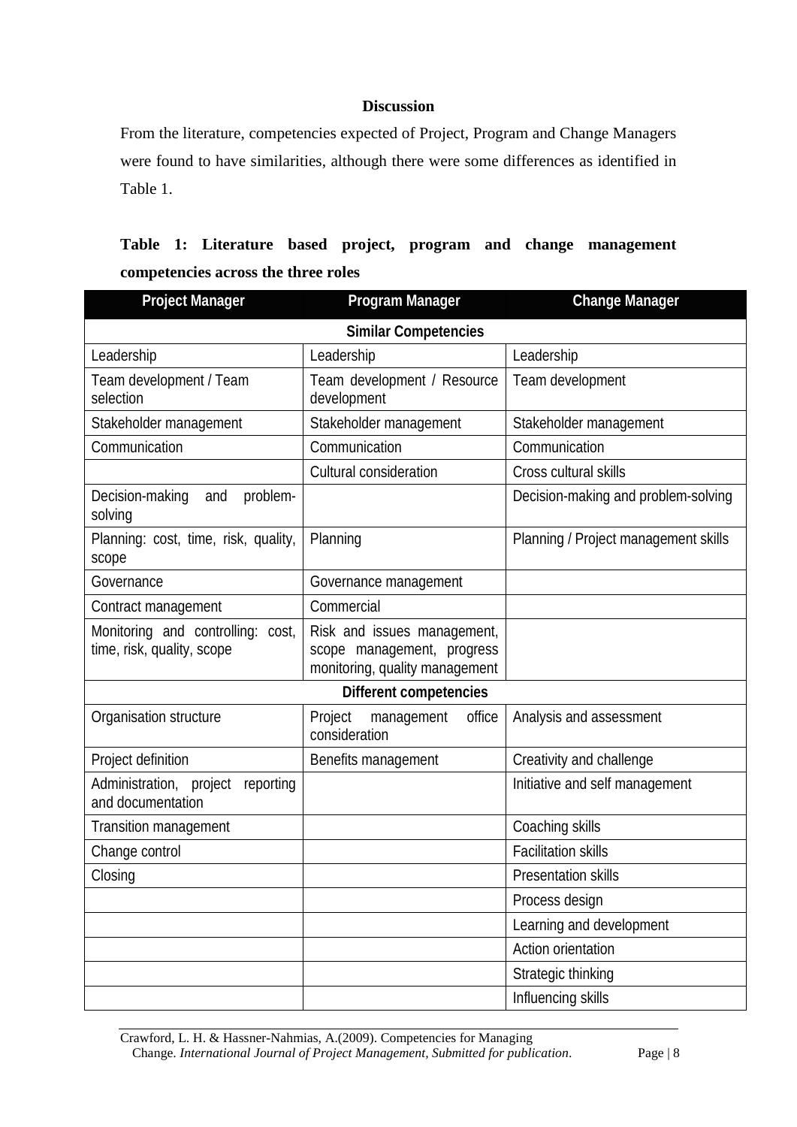## **Discussion**

From the literature, competencies expected of Project, Program and Change Managers were found to have similarities, although there were some differences as identified in Table 1.

|  |                                     |  |  | Table 1: Literature based project, program and change management |
|--|-------------------------------------|--|--|------------------------------------------------------------------|
|  | competencies across the three roles |  |  |                                                                  |

| <b>Project Manager</b>                                          | Program Manager                                                                             | <b>Change Manager</b>                |  |  |  |
|-----------------------------------------------------------------|---------------------------------------------------------------------------------------------|--------------------------------------|--|--|--|
|                                                                 | <b>Similar Competencies</b>                                                                 |                                      |  |  |  |
| Leadership                                                      | Leadership                                                                                  | Leadership                           |  |  |  |
| Team development / Team<br>selection                            | Team development / Resource<br>development                                                  | Team development                     |  |  |  |
| Stakeholder management                                          | Stakeholder management                                                                      | Stakeholder management               |  |  |  |
| Communication                                                   | Communication                                                                               | Communication                        |  |  |  |
|                                                                 | <b>Cultural consideration</b>                                                               | Cross cultural skills                |  |  |  |
| Decision-making<br>problem-<br>and<br>solving                   |                                                                                             | Decision-making and problem-solving  |  |  |  |
| Planning: cost, time, risk, quality,<br>scope                   | Planning                                                                                    | Planning / Project management skills |  |  |  |
| Governance                                                      | Governance management                                                                       |                                      |  |  |  |
| Contract management                                             | Commercial                                                                                  |                                      |  |  |  |
| Monitoring and controlling: cost,<br>time, risk, quality, scope | Risk and issues management,<br>scope management, progress<br>monitoring, quality management |                                      |  |  |  |
| Different competencies                                          |                                                                                             |                                      |  |  |  |
| Organisation structure                                          | Project<br>management<br>office<br>consideration                                            | Analysis and assessment              |  |  |  |
| Project definition                                              | Benefits management                                                                         | Creativity and challenge             |  |  |  |
| Administration, project<br>reporting<br>and documentation       |                                                                                             | Initiative and self management       |  |  |  |
| Transition management                                           |                                                                                             | Coaching skills                      |  |  |  |
| Change control                                                  |                                                                                             | <b>Facilitation skills</b>           |  |  |  |
| Closing                                                         |                                                                                             | <b>Presentation skills</b>           |  |  |  |
|                                                                 |                                                                                             | Process design                       |  |  |  |
|                                                                 |                                                                                             | Learning and development             |  |  |  |
|                                                                 |                                                                                             | Action orientation                   |  |  |  |
|                                                                 |                                                                                             | Strategic thinking                   |  |  |  |
|                                                                 |                                                                                             | Influencing skills                   |  |  |  |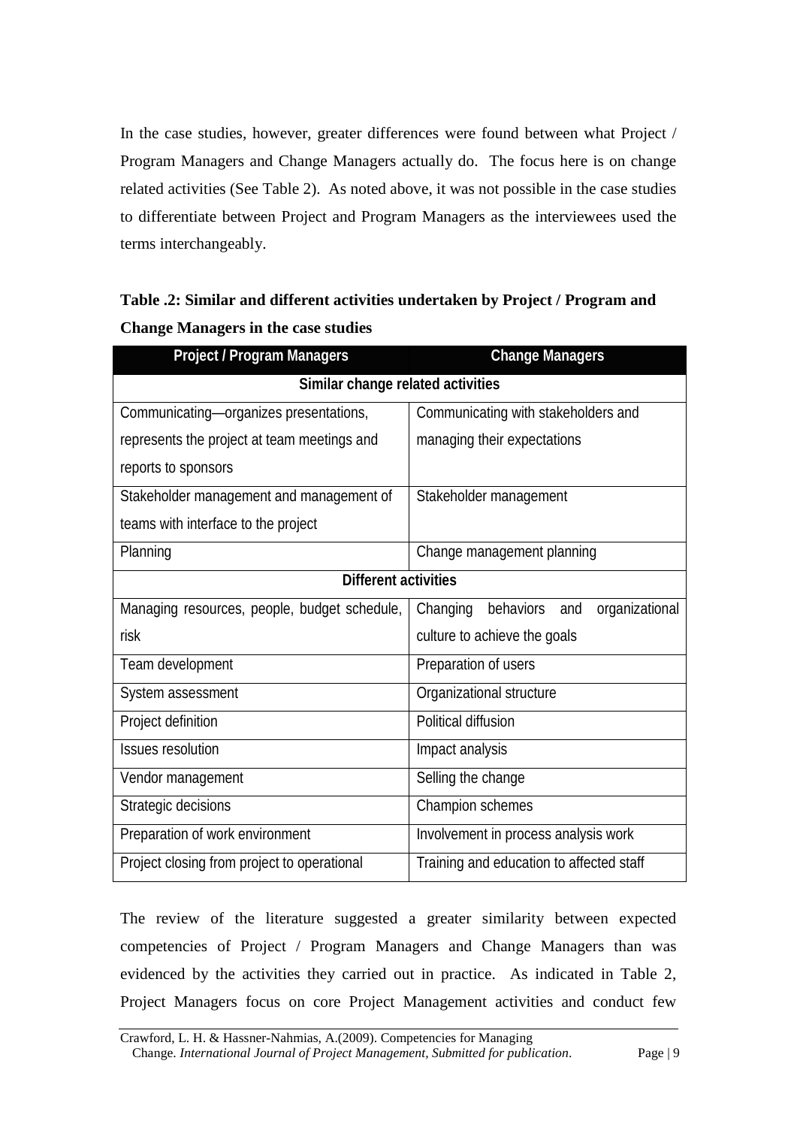In the case studies, however, greater differences were found between what Project / Program Managers and Change Managers actually do. The focus here is on change related activities (See Table 2). As noted above, it was not possible in the case studies to differentiate between Project and Program Managers as the interviewees used the terms interchangeably.

| Change <b>Managers</b> in the case studies   |                                                |  |  |  |  |
|----------------------------------------------|------------------------------------------------|--|--|--|--|
| <b>Project / Program Managers</b>            | <b>Change Managers</b>                         |  |  |  |  |
| Similar change related activities            |                                                |  |  |  |  |
| Communicating—organizes presentations,       | Communicating with stakeholders and            |  |  |  |  |
| represents the project at team meetings and  | managing their expectations                    |  |  |  |  |
| reports to sponsors                          |                                                |  |  |  |  |
| Stakeholder management and management of     | Stakeholder management                         |  |  |  |  |
| teams with interface to the project          |                                                |  |  |  |  |
| Planning                                     | Change management planning                     |  |  |  |  |
| Different activities                         |                                                |  |  |  |  |
| Managing resources, people, budget schedule, | Changing<br>organizational<br>behaviors<br>and |  |  |  |  |
| risk                                         | culture to achieve the goals                   |  |  |  |  |
| Team development                             | Preparation of users                           |  |  |  |  |
| System assessment                            | Organizational structure                       |  |  |  |  |
| Project definition                           | Political diffusion                            |  |  |  |  |

**Table .2: Similar and different activities undertaken by Project / Program and Change Managers in the case studies** 

The review of the literature suggested a greater similarity between expected competencies of Project / Program Managers and Change Managers than was evidenced by the activities they carried out in practice. As indicated in Table 2, Project Managers focus on core Project Management activities and conduct few

Preparation of work environment Involvement in process analysis work

Project closing from project to operational Training and education to affected staff

Issues resolution **Impact analysis** 

Vendor management Selling the change

Strategic decisions Champion schemes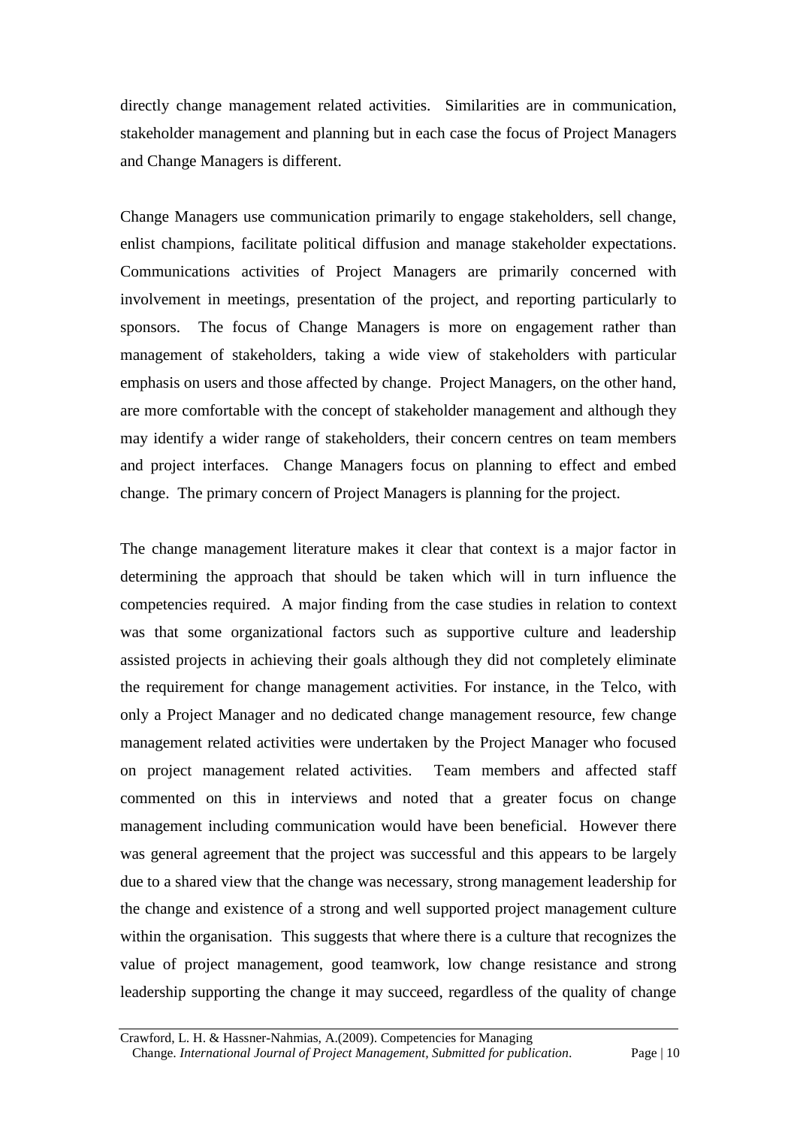directly change management related activities. Similarities are in communication, stakeholder management and planning but in each case the focus of Project Managers and Change Managers is different.

Change Managers use communication primarily to engage stakeholders, sell change, enlist champions, facilitate political diffusion and manage stakeholder expectations. Communications activities of Project Managers are primarily concerned with involvement in meetings, presentation of the project, and reporting particularly to sponsors. The focus of Change Managers is more on engagement rather than management of stakeholders, taking a wide view of stakeholders with particular emphasis on users and those affected by change. Project Managers, on the other hand, are more comfortable with the concept of stakeholder management and although they may identify a wider range of stakeholders, their concern centres on team members and project interfaces. Change Managers focus on planning to effect and embed change. The primary concern of Project Managers is planning for the project.

The change management literature makes it clear that context is a major factor in determining the approach that should be taken which will in turn influence the competencies required. A major finding from the case studies in relation to context was that some organizational factors such as supportive culture and leadership assisted projects in achieving their goals although they did not completely eliminate the requirement for change management activities. For instance, in the Telco, with only a Project Manager and no dedicated change management resource, few change management related activities were undertaken by the Project Manager who focused on project management related activities. Team members and affected staff commented on this in interviews and noted that a greater focus on change management including communication would have been beneficial. However there was general agreement that the project was successful and this appears to be largely due to a shared view that the change was necessary, strong management leadership for the change and existence of a strong and well supported project management culture within the organisation. This suggests that where there is a culture that recognizes the value of project management, good teamwork, low change resistance and strong leadership supporting the change it may succeed, regardless of the quality of change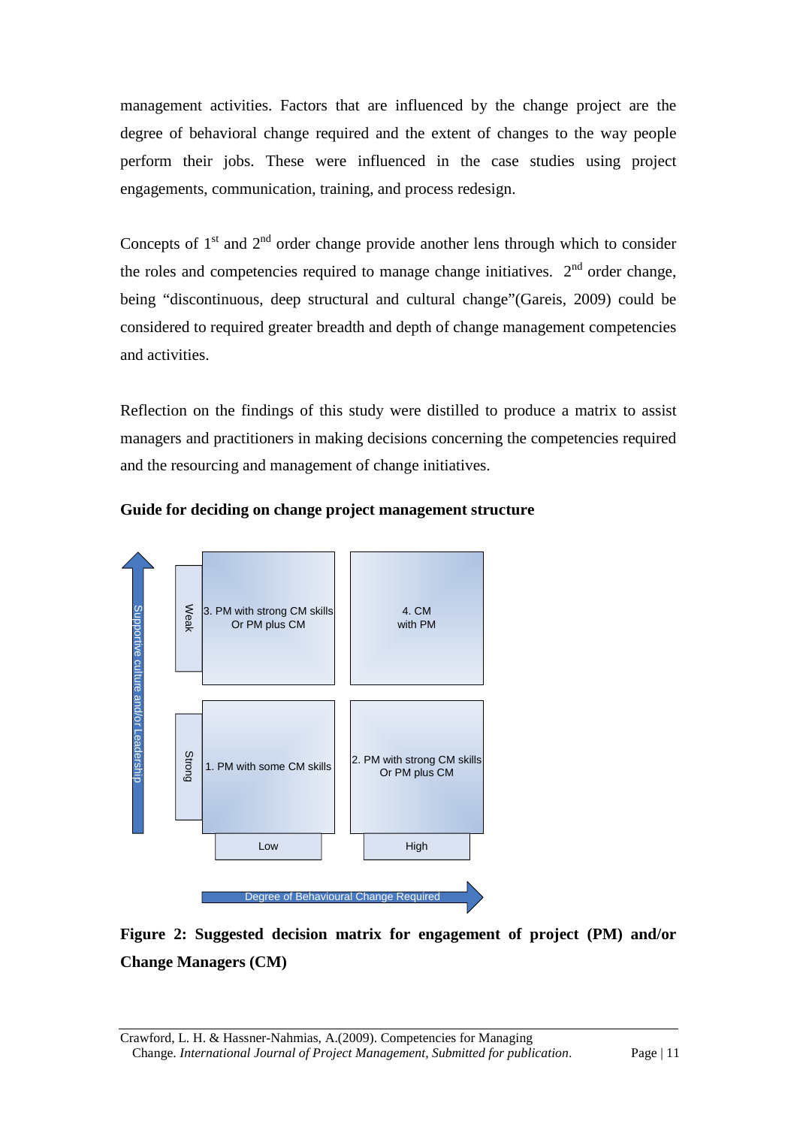management activities. Factors that are influenced by the change project are the degree of behavioral change required and the extent of changes to the way people perform their jobs. These were influenced in the case studies using project engagements, communication, training, and process redesign.

Concepts of  $1<sup>st</sup>$  and  $2<sup>nd</sup>$  order change provide another lens through which to consider the roles and competencies required to manage change initiatives.  $2<sup>nd</sup>$  order change, being "discontinuous, deep structural and cultural change"(Gareis, 2009) could be considered to required greater breadth and depth of change management competencies and activities.

Reflection on the findings of this study were distilled to produce a matrix to assist managers and practitioners in making decisions concerning the competencies required and the resourcing and management of change initiatives.



### **Guide for deciding on change project management structure**

**Figure 2: Suggested decision matrix for engagement of project (PM) and/or Change Managers (CM)**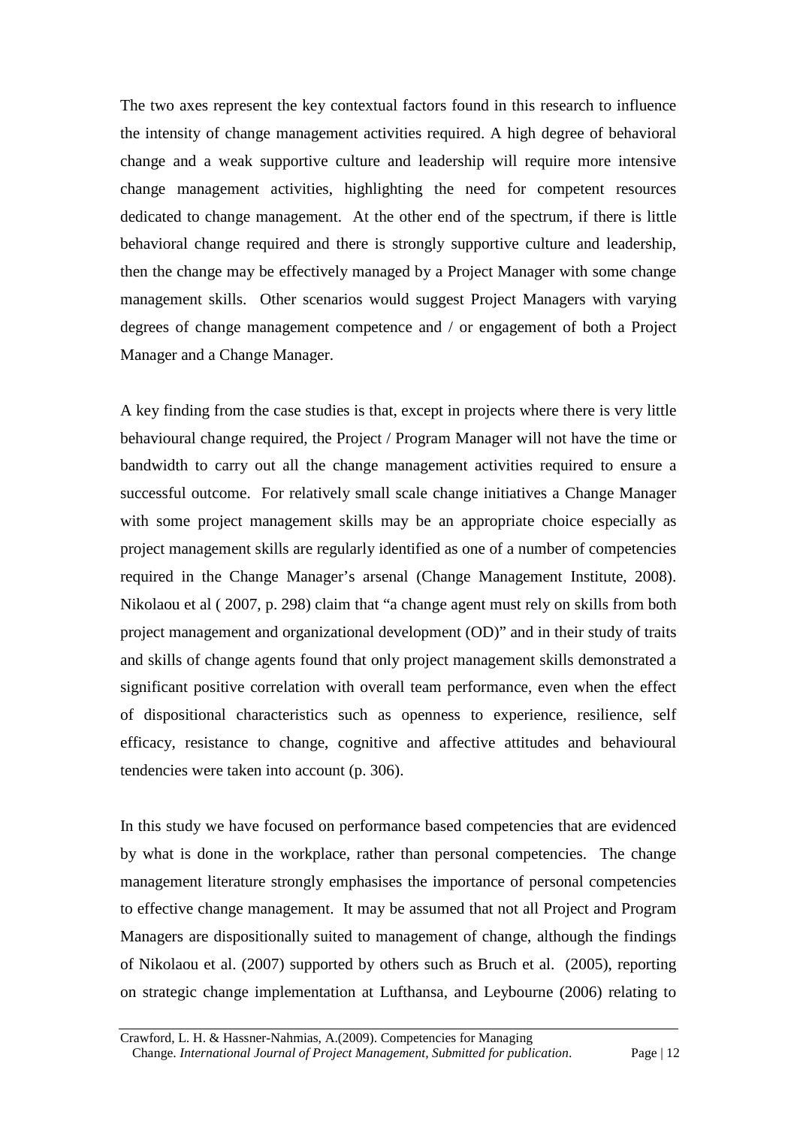The two axes represent the key contextual factors found in this research to influence the intensity of change management activities required. A high degree of behavioral change and a weak supportive culture and leadership will require more intensive change management activities, highlighting the need for competent resources dedicated to change management. At the other end of the spectrum, if there is little behavioral change required and there is strongly supportive culture and leadership, then the change may be effectively managed by a Project Manager with some change management skills. Other scenarios would suggest Project Managers with varying degrees of change management competence and / or engagement of both a Project Manager and a Change Manager.

A key finding from the case studies is that, except in projects where there is very little behavioural change required, the Project / Program Manager will not have the time or bandwidth to carry out all the change management activities required to ensure a successful outcome. For relatively small scale change initiatives a Change Manager with some project management skills may be an appropriate choice especially as project management skills are regularly identified as one of a number of competencies required in the Change Manager's arsenal (Change Management Institute, 2008). Nikolaou et al ( 2007, p. 298) claim that "a change agent must rely on skills from both project management and organizational development (OD)" and in their study of traits and skills of change agents found that only project management skills demonstrated a significant positive correlation with overall team performance, even when the effect of dispositional characteristics such as openness to experience, resilience, self efficacy, resistance to change, cognitive and affective attitudes and behavioural tendencies were taken into account (p. 306).

In this study we have focused on performance based competencies that are evidenced by what is done in the workplace, rather than personal competencies. The change management literature strongly emphasises the importance of personal competencies to effective change management. It may be assumed that not all Project and Program Managers are dispositionally suited to management of change, although the findings of Nikolaou et al. (2007) supported by others such as Bruch et al. (2005), reporting on strategic change implementation at Lufthansa, and Leybourne (2006) relating to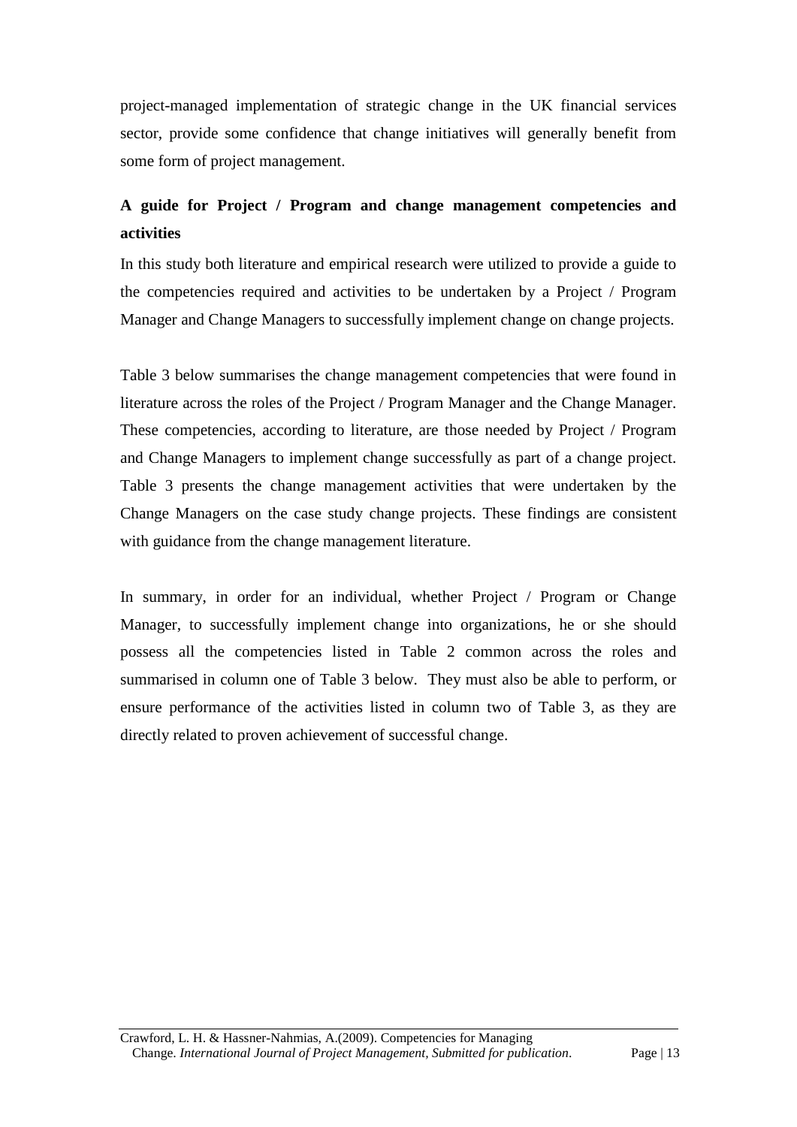project-managed implementation of strategic change in the UK financial services sector, provide some confidence that change initiatives will generally benefit from some form of project management.

# **A guide for Project / Program and change management competencies and activities**

In this study both literature and empirical research were utilized to provide a guide to the competencies required and activities to be undertaken by a Project / Program Manager and Change Managers to successfully implement change on change projects.

Table 3 below summarises the change management competencies that were found in literature across the roles of the Project / Program Manager and the Change Manager. These competencies, according to literature, are those needed by Project / Program and Change Managers to implement change successfully as part of a change project. Table 3 presents the change management activities that were undertaken by the Change Managers on the case study change projects. These findings are consistent with guidance from the change management literature.

In summary, in order for an individual, whether Project / Program or Change Manager, to successfully implement change into organizations, he or she should possess all the competencies listed in Table 2 common across the roles and summarised in column one of Table 3 below. They must also be able to perform, or ensure performance of the activities listed in column two of Table 3, as they are directly related to proven achievement of successful change.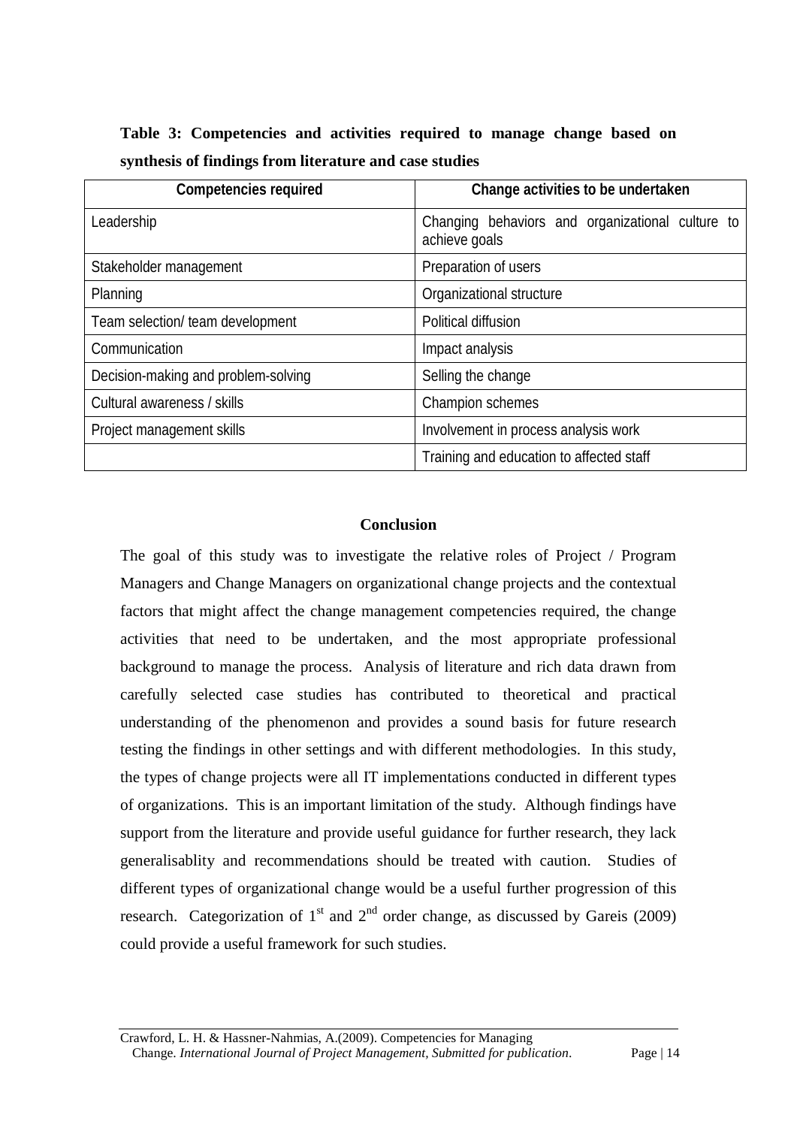**Table 3: Competencies and activities required to manage change based on synthesis of findings from literature and case studies** 

| <b>Competencies required</b>        | Change activities to be undertaken                                |  |  |  |
|-------------------------------------|-------------------------------------------------------------------|--|--|--|
| Leadership                          | Changing behaviors and organizational culture to<br>achieve goals |  |  |  |
| Stakeholder management              | Preparation of users                                              |  |  |  |
| Planning                            | Organizational structure                                          |  |  |  |
| Team selection/ team development    | Political diffusion                                               |  |  |  |
| Communication                       | Impact analysis                                                   |  |  |  |
| Decision-making and problem-solving | Selling the change                                                |  |  |  |
| Cultural awareness / skills         | Champion schemes                                                  |  |  |  |
| Project management skills           | Involvement in process analysis work                              |  |  |  |
|                                     | Training and education to affected staff                          |  |  |  |

#### **Conclusion**

The goal of this study was to investigate the relative roles of Project / Program Managers and Change Managers on organizational change projects and the contextual factors that might affect the change management competencies required, the change activities that need to be undertaken, and the most appropriate professional background to manage the process. Analysis of literature and rich data drawn from carefully selected case studies has contributed to theoretical and practical understanding of the phenomenon and provides a sound basis for future research testing the findings in other settings and with different methodologies. In this study, the types of change projects were all IT implementations conducted in different types of organizations. This is an important limitation of the study. Although findings have support from the literature and provide useful guidance for further research, they lack generalisablity and recommendations should be treated with caution. Studies of different types of organizational change would be a useful further progression of this research. Categorization of  $1<sup>st</sup>$  and  $2<sup>nd</sup>$  order change, as discussed by Gareis (2009) could provide a useful framework for such studies.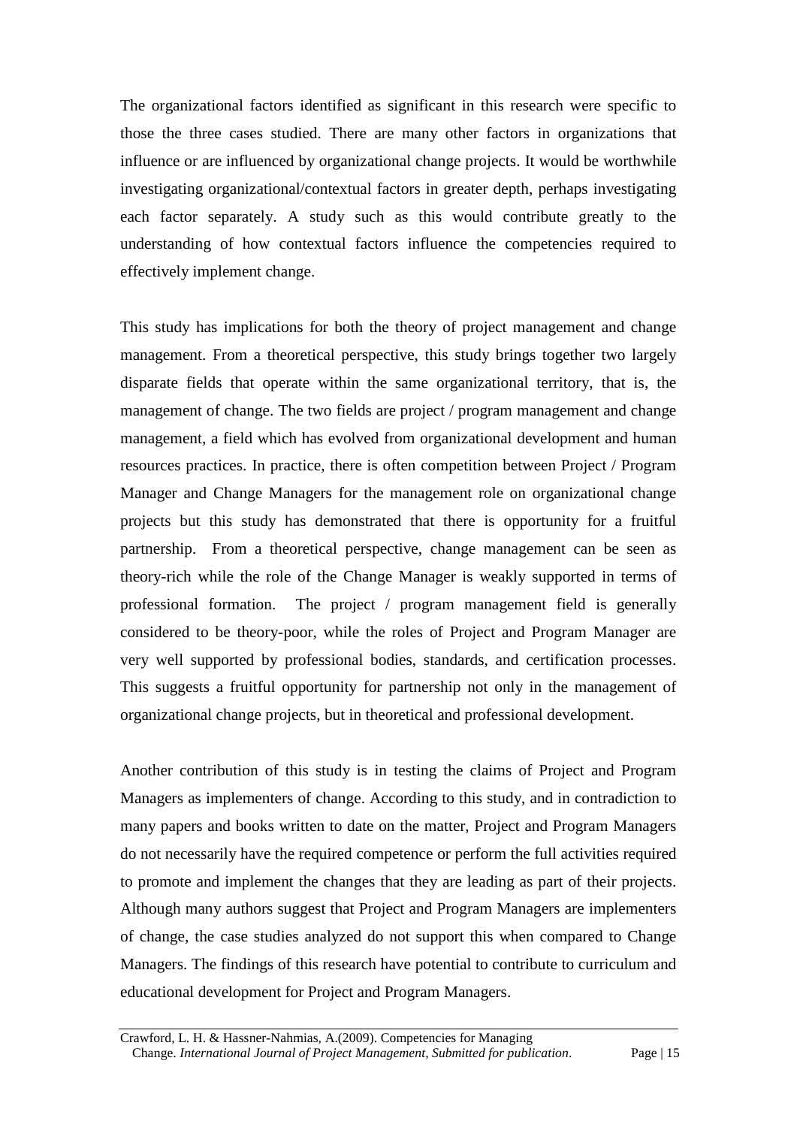The organizational factors identified as significant in this research were specific to those the three cases studied. There are many other factors in organizations that influence or are influenced by organizational change projects. It would be worthwhile investigating organizational/contextual factors in greater depth, perhaps investigating each factor separately. A study such as this would contribute greatly to the understanding of how contextual factors influence the competencies required to effectively implement change.

This study has implications for both the theory of project management and change management. From a theoretical perspective, this study brings together two largely disparate fields that operate within the same organizational territory, that is, the management of change. The two fields are project / program management and change management, a field which has evolved from organizational development and human resources practices. In practice, there is often competition between Project / Program Manager and Change Managers for the management role on organizational change projects but this study has demonstrated that there is opportunity for a fruitful partnership. From a theoretical perspective, change management can be seen as theory-rich while the role of the Change Manager is weakly supported in terms of professional formation. The project / program management field is generally considered to be theory-poor, while the roles of Project and Program Manager are very well supported by professional bodies, standards, and certification processes. This suggests a fruitful opportunity for partnership not only in the management of organizational change projects, but in theoretical and professional development.

Another contribution of this study is in testing the claims of Project and Program Managers as implementers of change. According to this study, and in contradiction to many papers and books written to date on the matter, Project and Program Managers do not necessarily have the required competence or perform the full activities required to promote and implement the changes that they are leading as part of their projects. Although many authors suggest that Project and Program Managers are implementers of change, the case studies analyzed do not support this when compared to Change Managers. The findings of this research have potential to contribute to curriculum and educational development for Project and Program Managers.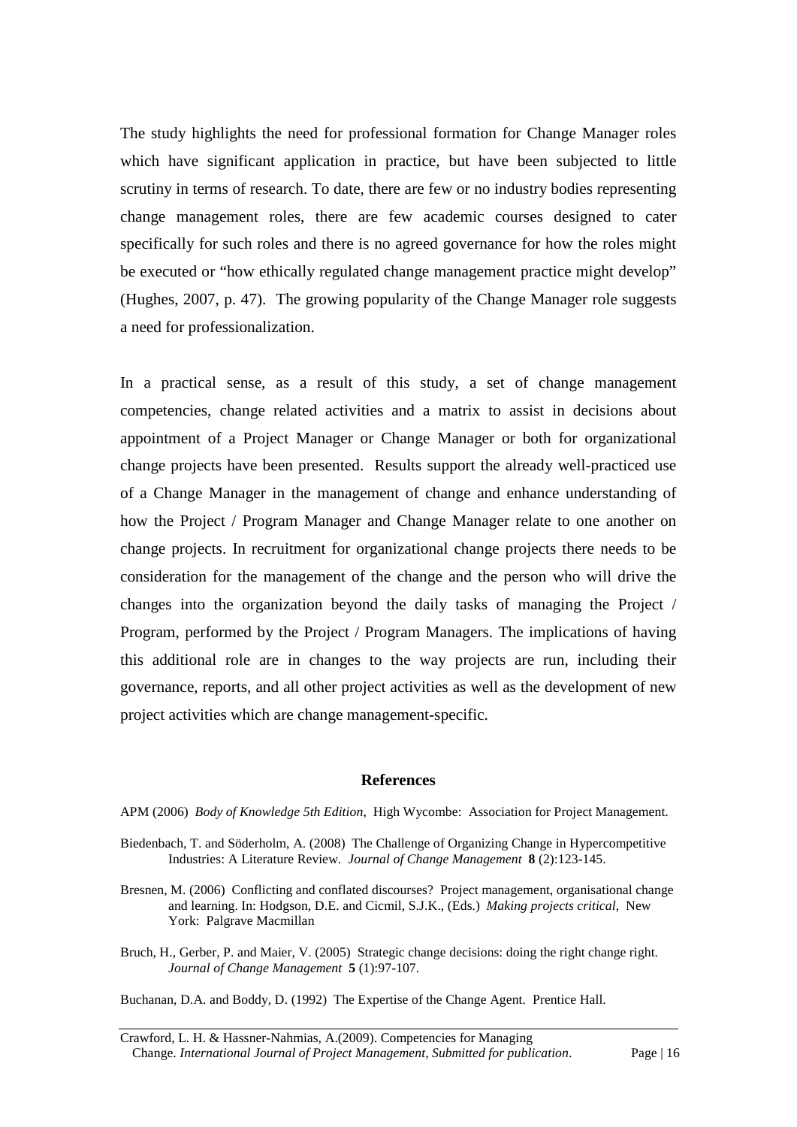The study highlights the need for professional formation for Change Manager roles which have significant application in practice, but have been subjected to little scrutiny in terms of research. To date, there are few or no industry bodies representing change management roles, there are few academic courses designed to cater specifically for such roles and there is no agreed governance for how the roles might be executed or "how ethically regulated change management practice might develop" (Hughes, 2007, p. 47). The growing popularity of the Change Manager role suggests a need for professionalization.

In a practical sense, as a result of this study, a set of change management competencies, change related activities and a matrix to assist in decisions about appointment of a Project Manager or Change Manager or both for organizational change projects have been presented. Results support the already well-practiced use of a Change Manager in the management of change and enhance understanding of how the Project / Program Manager and Change Manager relate to one another on change projects. In recruitment for organizational change projects there needs to be consideration for the management of the change and the person who will drive the changes into the organization beyond the daily tasks of managing the Project / Program, performed by the Project / Program Managers. The implications of having this additional role are in changes to the way projects are run, including their governance, reports, and all other project activities as well as the development of new project activities which are change management-specific.

#### **References**

APM (2006) *Body of Knowledge 5th Edition*, High Wycombe: Association for Project Management.

- Biedenbach, T. and Söderholm, A. (2008) The Challenge of Organizing Change in Hypercompetitive Industries: A Literature Review. *Journal of Change Management* **8** (2):123-145.
- Bresnen, M. (2006) Conflicting and conflated discourses? Project management, organisational change and learning. In: Hodgson, D.E. and Cicmil, S.J.K., (Eds.) *Making projects critical*, New York: Palgrave Macmillan
- Bruch, H., Gerber, P. and Maier, V. (2005) Strategic change decisions: doing the right change right. *Journal of Change Management* **5** (1):97-107.

Buchanan, D.A. and Boddy, D. (1992) The Expertise of the Change Agent. Prentice Hall.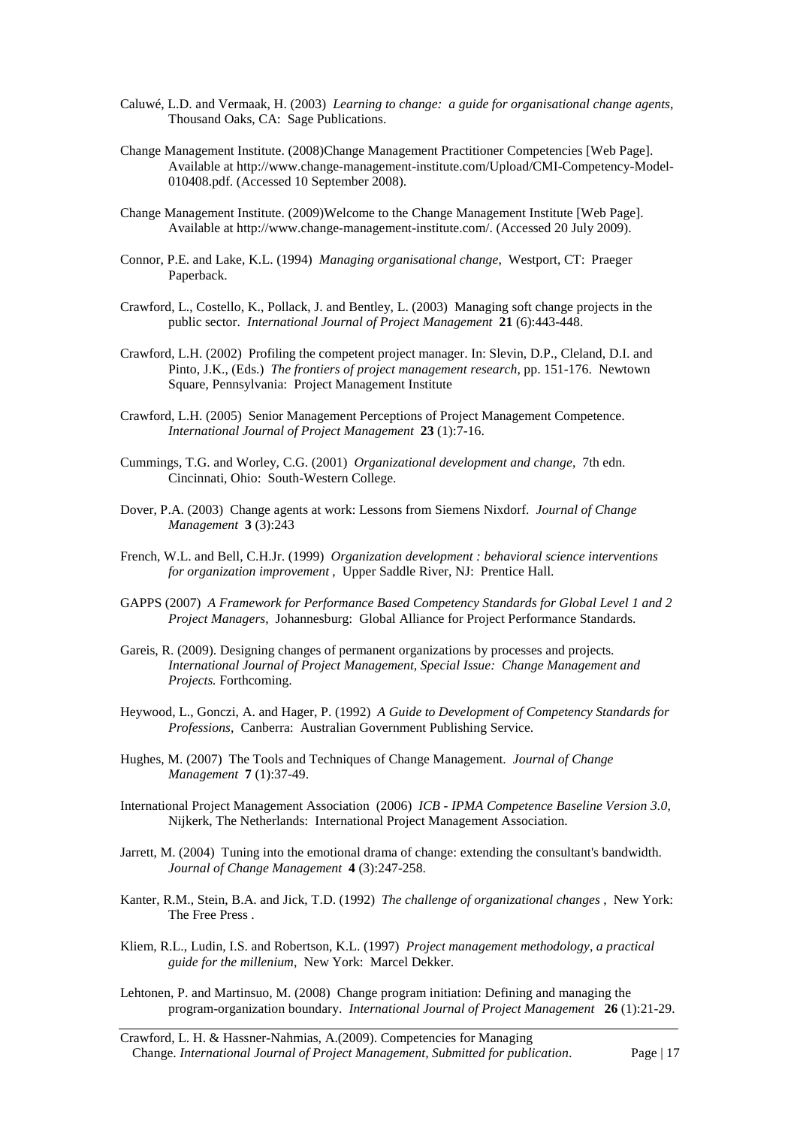- Caluwé, L.D. and Vermaak, H. (2003) *Learning to change: a guide for organisational change agents*, Thousand Oaks, CA: Sage Publications.
- Change Management Institute. (2008)Change Management Practitioner Competencies [Web Page]. Available at http://www.change-management-institute.com/Upload/CMI-Competency-Model-010408.pdf. (Accessed 10 September 2008).
- Change Management Institute. (2009)Welcome to the Change Management Institute [Web Page]. Available at http://www.change-management-institute.com/. (Accessed 20 July 2009).
- Connor, P.E. and Lake, K.L. (1994) *Managing organisational change*, Westport, CT: Praeger Paperback.
- Crawford, L., Costello, K., Pollack, J. and Bentley, L. (2003) Managing soft change projects in the public sector. *International Journal of Project Management* **21** (6):443-448.
- Crawford, L.H. (2002) Profiling the competent project manager. In: Slevin, D.P., Cleland, D.I. and Pinto, J.K., (Eds.) *The frontiers of project management research*, pp. 151-176. Newtown Square, Pennsylvania: Project Management Institute
- Crawford, L.H. (2005) Senior Management Perceptions of Project Management Competence. *International Journal of Project Management* **23** (1):7-16.
- Cummings, T.G. and Worley, C.G. (2001) *Organizational development and change*, 7th edn. Cincinnati, Ohio: South-Western College.
- Dover, P.A. (2003) Change agents at work: Lessons from Siemens Nixdorf. *Journal of Change Management* **3** (3):243
- French, W.L. and Bell, C.H.Jr. (1999) *Organization development : behavioral science interventions for organization improvement* , Upper Saddle River, NJ: Prentice Hall.
- GAPPS (2007) *A Framework for Performance Based Competency Standards for Global Level 1 and 2 Project Managers*, Johannesburg: Global Alliance for Project Performance Standards.
- Gareis, R. (2009). Designing changes of permanent organizations by processes and projects. *International Journal of Project Management, Special Issue: Change Management and Projects.* Forthcoming.
- Heywood, L., Gonczi, A. and Hager, P. (1992) *A Guide to Development of Competency Standards for Professions*, Canberra: Australian Government Publishing Service.
- Hughes, M. (2007) The Tools and Techniques of Change Management. *Journal of Change Management* **7** (1):37-49.
- International Project Management Association (2006) *ICB - IPMA Competence Baseline Version 3.0*, Nijkerk, The Netherlands: International Project Management Association.
- Jarrett, M. (2004) Tuning into the emotional drama of change: extending the consultant's bandwidth. *Journal of Change Management* **4** (3):247-258.
- Kanter, R.M., Stein, B.A. and Jick, T.D. (1992) *The challenge of organizational changes* , New York: The Free Press .
- Kliem, R.L., Ludin, I.S. and Robertson, K.L. (1997) *Project management methodology, a practical guide for the millenium*, New York: Marcel Dekker.
- Lehtonen, P. and Martinsuo, M. (2008) Change program initiation: Defining and managing the program-organization boundary. *International Journal of Project Management* **26** (1):21-29.
- Crawford, L. H. & Hassner-Nahmias, A.(2009). Competencies for Managing Change. *International Journal of Project Management, Submitted for publication*. Page | 17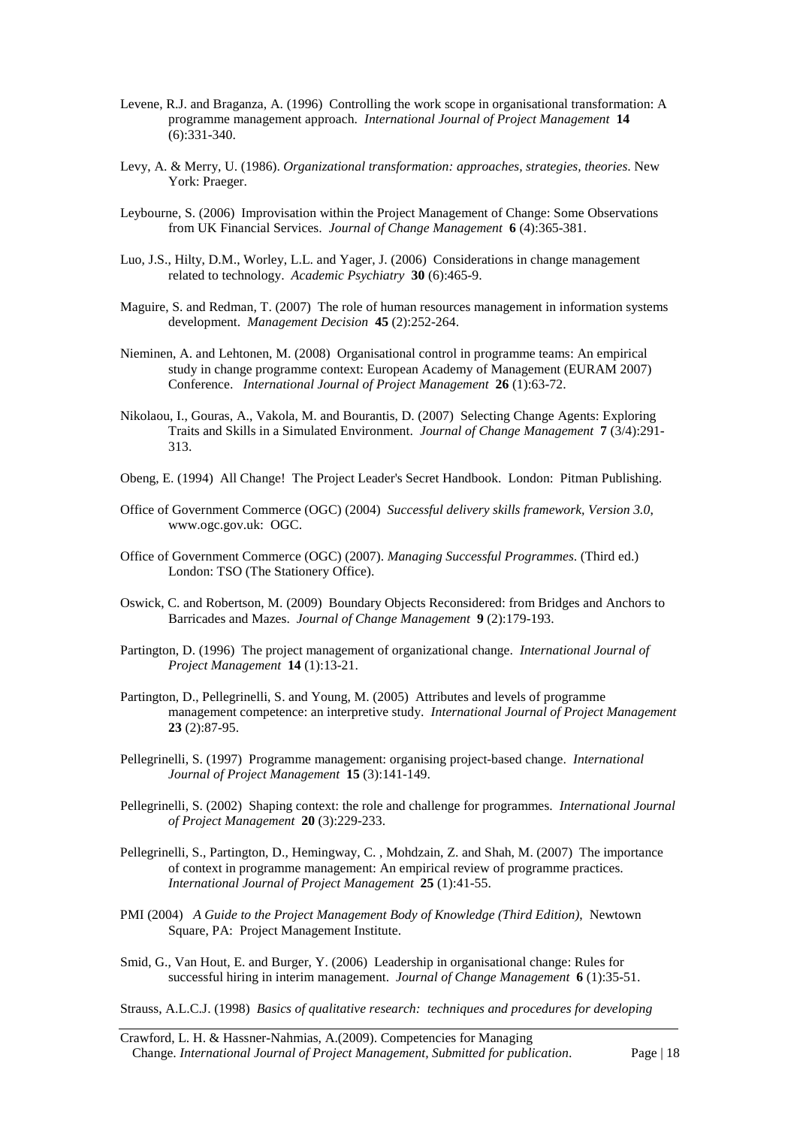- Levene, R.J. and Braganza, A. (1996) Controlling the work scope in organisational transformation: A programme management approach. *International Journal of Project Management* **14** (6):331-340.
- Levy, A. & Merry, U. (1986). *Organizational transformation: approaches, strategies, theories*. New York: Praeger.
- Leybourne, S. (2006) Improvisation within the Project Management of Change: Some Observations from UK Financial Services. *Journal of Change Management* **6** (4):365-381.
- Luo, J.S., Hilty, D.M., Worley, L.L. and Yager, J. (2006) Considerations in change management related to technology. *Academic Psychiatry* **30** (6):465-9.
- Maguire, S. and Redman, T. (2007) The role of human resources management in information systems development. *Management Decision* **45** (2):252-264.
- Nieminen, A. and Lehtonen, M. (2008) Organisational control in programme teams: An empirical study in change programme context: European Academy of Management (EURAM 2007) Conference. *International Journal of Project Management* **26** (1):63-72.
- Nikolaou, I., Gouras, A., Vakola, M. and Bourantis, D. (2007) Selecting Change Agents: Exploring Traits and Skills in a Simulated Environment. *Journal of Change Management* **7** (3/4):291- 313.
- Obeng, E. (1994) All Change! The Project Leader's Secret Handbook. London: Pitman Publishing.
- Office of Government Commerce (OGC) (2004) *Successful delivery skills framework, Version 3.0*, www.ogc.gov.uk: OGC.
- Office of Government Commerce (OGC) (2007). *Managing Successful Programmes*. (Third ed.) London: TSO (The Stationery Office).
- Oswick, C. and Robertson, M. (2009) Boundary Objects Reconsidered: from Bridges and Anchors to Barricades and Mazes. *Journal of Change Management* **9** (2):179-193.
- Partington, D. (1996) The project management of organizational change. *International Journal of Project Management* **14** (1):13-21.
- Partington, D., Pellegrinelli, S. and Young, M. (2005) Attributes and levels of programme management competence: an interpretive study. *International Journal of Project Management* **23** (2):87-95.
- Pellegrinelli, S. (1997) Programme management: organising project-based change. *International Journal of Project Management* **15** (3):141-149.
- Pellegrinelli, S. (2002) Shaping context: the role and challenge for programmes. *International Journal of Project Management* **20** (3):229-233.
- Pellegrinelli, S., Partington, D., Hemingway, C. , Mohdzain, Z. and Shah, M. (2007) The importance of context in programme management: An empirical review of programme practices. *International Journal of Project Management* **25** (1):41-55.
- PMI (2004) *A Guide to the Project Management Body of Knowledge (Third Edition)*, Newtown Square, PA: Project Management Institute.
- Smid, G., Van Hout, E. and Burger, Y. (2006) Leadership in organisational change: Rules for successful hiring in interim management. *Journal of Change Management* **6** (1):35-51.

Strauss, A.L.C.J. (1998) *Basics of qualitative research: techniques and procedures for developing* 

Crawford, L. H. & Hassner-Nahmias, A.(2009). Competencies for Managing Change. *International Journal of Project Management, Submitted for publication*. Page | 18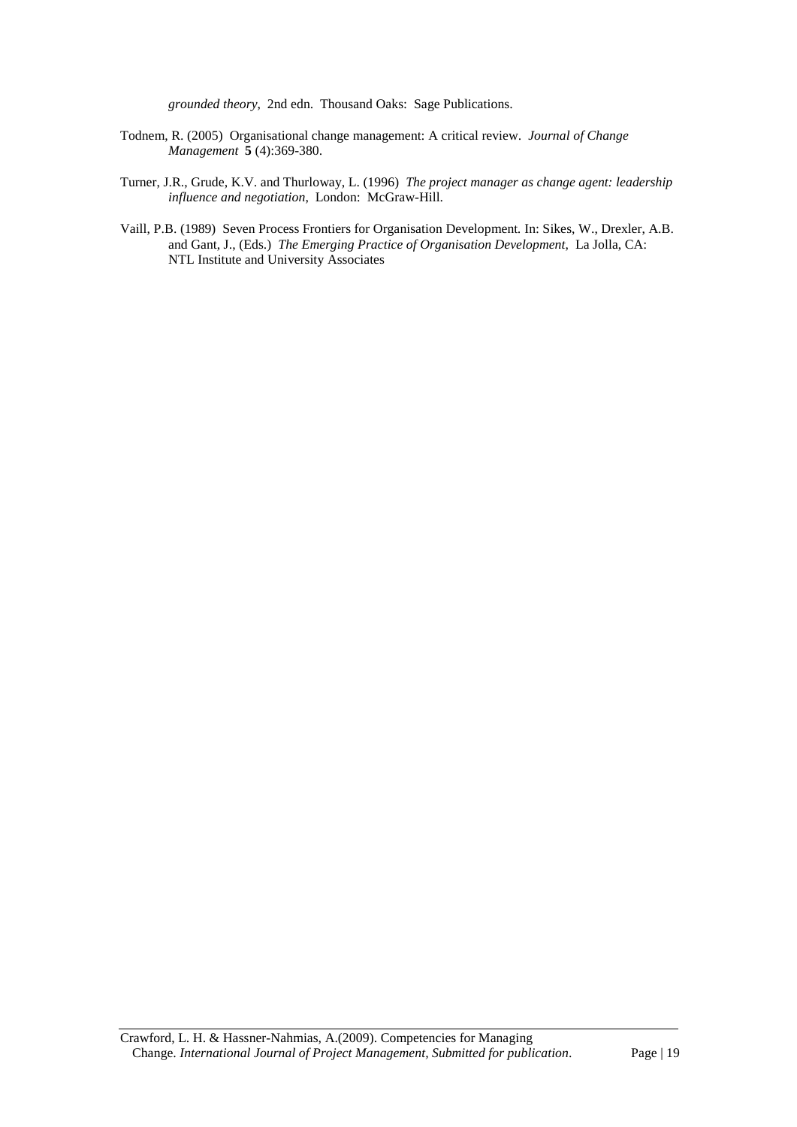*grounded theory*, 2nd edn. Thousand Oaks: Sage Publications.

- Todnem, R. (2005) Organisational change management: A critical review. *Journal of Change Management* **5** (4):369-380.
- Turner, J.R., Grude, K.V. and Thurloway, L. (1996) *The project manager as change agent: leadership influence and negotiation*, London: McGraw-Hill.
- Vaill, P.B. (1989) Seven Process Frontiers for Organisation Development*.* In: Sikes, W., Drexler, A.B. and Gant, J., (Eds.) *The Emerging Practice of Organisation Development*, La Jolla, CA: NTL Institute and University Associates